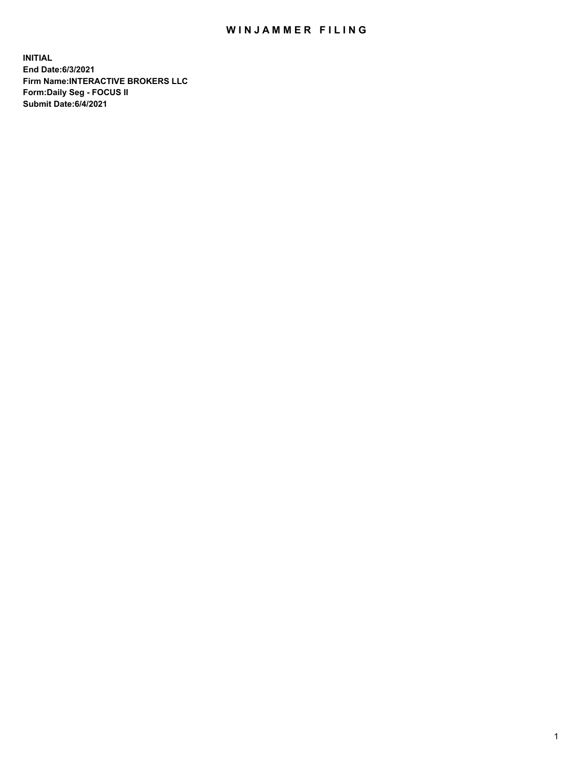## WIN JAMMER FILING

**INITIAL End Date:6/3/2021 Firm Name:INTERACTIVE BROKERS LLC Form:Daily Seg - FOCUS II Submit Date:6/4/2021**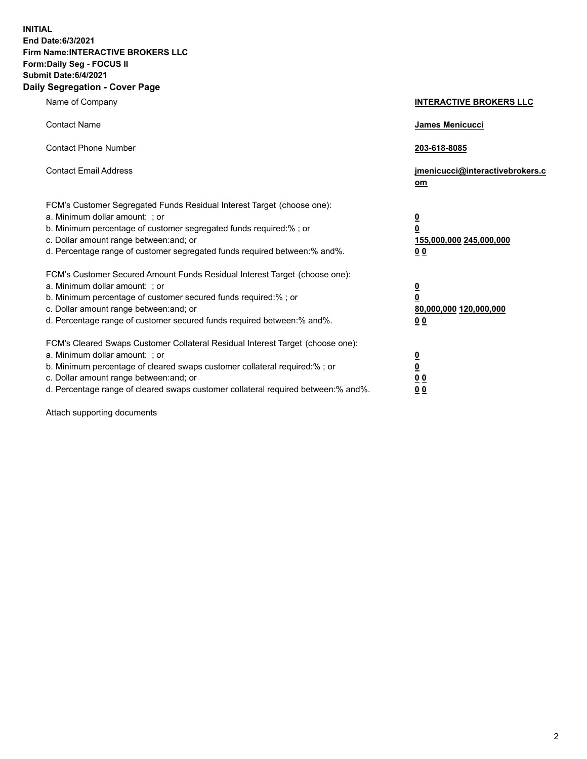**INITIAL End Date:6/3/2021 Firm Name:INTERACTIVE BROKERS LLC Form:Daily Seg - FOCUS II Submit Date:6/4/2021 Daily Segregation - Cover Page**

| Name of Company                                                                                                                                                                                                                                                                                                                | <b>INTERACTIVE BROKERS LLC</b>                                                                  |
|--------------------------------------------------------------------------------------------------------------------------------------------------------------------------------------------------------------------------------------------------------------------------------------------------------------------------------|-------------------------------------------------------------------------------------------------|
| <b>Contact Name</b>                                                                                                                                                                                                                                                                                                            | <b>James Menicucci</b>                                                                          |
| <b>Contact Phone Number</b>                                                                                                                                                                                                                                                                                                    | 203-618-8085                                                                                    |
| <b>Contact Email Address</b>                                                                                                                                                                                                                                                                                                   | jmenicucci@interactivebrokers.c<br>om                                                           |
| FCM's Customer Segregated Funds Residual Interest Target (choose one):<br>a. Minimum dollar amount: ; or<br>b. Minimum percentage of customer segregated funds required:% ; or<br>c. Dollar amount range between: and; or<br>d. Percentage range of customer segregated funds required between:% and%.                         | $\overline{\mathbf{0}}$<br>$\overline{\mathbf{0}}$<br>155,000,000 245,000,000<br>0 <sub>0</sub> |
| FCM's Customer Secured Amount Funds Residual Interest Target (choose one):<br>a. Minimum dollar amount: ; or<br>b. Minimum percentage of customer secured funds required:%; or<br>c. Dollar amount range between: and; or<br>d. Percentage range of customer secured funds required between:% and%.                            | $\overline{\mathbf{0}}$<br>$\mathbf 0$<br>80,000,000 120,000,000<br>0 <sub>0</sub>              |
| FCM's Cleared Swaps Customer Collateral Residual Interest Target (choose one):<br>a. Minimum dollar amount: ; or<br>b. Minimum percentage of cleared swaps customer collateral required:% ; or<br>c. Dollar amount range between: and; or<br>d. Percentage range of cleared swaps customer collateral required between:% and%. | $\overline{\mathbf{0}}$<br>$\underline{\mathbf{0}}$<br>0 <sub>0</sub><br>0 <sub>0</sub>         |

Attach supporting documents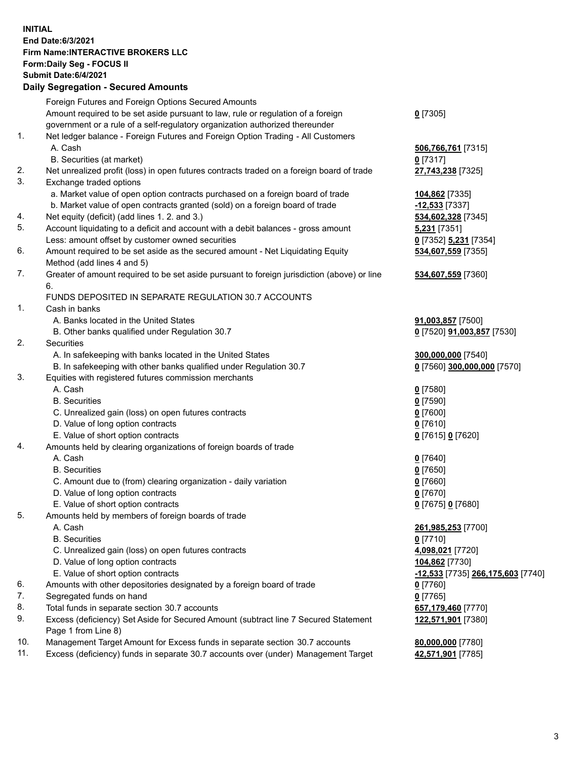## **INITIAL End Date:6/3/2021 Firm Name:INTERACTIVE BROKERS LLC Form:Daily Seg - FOCUS II Submit Date:6/4/2021 Daily Segregation - Secured Amounts**

|     | Dany Ocgregation - Occarea Anioants                                                         |                                   |
|-----|---------------------------------------------------------------------------------------------|-----------------------------------|
|     | Foreign Futures and Foreign Options Secured Amounts                                         |                                   |
|     | Amount required to be set aside pursuant to law, rule or regulation of a foreign            | $0$ [7305]                        |
|     | government or a rule of a self-regulatory organization authorized thereunder                |                                   |
| 1.  | Net ledger balance - Foreign Futures and Foreign Option Trading - All Customers             |                                   |
|     | A. Cash                                                                                     | 506,766,761 [7315]                |
|     | B. Securities (at market)                                                                   | $0$ [7317]                        |
| 2.  | Net unrealized profit (loss) in open futures contracts traded on a foreign board of trade   | 27,743,238 [7325]                 |
| 3.  | Exchange traded options                                                                     |                                   |
|     | a. Market value of open option contracts purchased on a foreign board of trade              | 104,862 [7335]                    |
|     | b. Market value of open contracts granted (sold) on a foreign board of trade                | $-12,533$ [7337]                  |
| 4.  | Net equity (deficit) (add lines 1. 2. and 3.)                                               | 534,602,328 [7345]                |
| 5.  | Account liquidating to a deficit and account with a debit balances - gross amount           | <b>5,231</b> [7351]               |
|     | Less: amount offset by customer owned securities                                            | 0 [7352] 5,231 [7354]             |
| 6.  | Amount required to be set aside as the secured amount - Net Liquidating Equity              | 534,607,559 [7355]                |
|     | Method (add lines 4 and 5)                                                                  |                                   |
| 7.  | Greater of amount required to be set aside pursuant to foreign jurisdiction (above) or line | 534,607,559 [7360]                |
|     | 6.                                                                                          |                                   |
|     | FUNDS DEPOSITED IN SEPARATE REGULATION 30.7 ACCOUNTS                                        |                                   |
| 1.  | Cash in banks                                                                               |                                   |
|     | A. Banks located in the United States                                                       | 91,003,857 [7500]                 |
|     | B. Other banks qualified under Regulation 30.7                                              | 0 [7520] 91,003,857 [7530]        |
| 2.  | Securities                                                                                  |                                   |
|     | A. In safekeeping with banks located in the United States                                   | 300,000,000 [7540]                |
|     | B. In safekeeping with other banks qualified under Regulation 30.7                          | 0 [7560] 300,000,000 [7570]       |
| 3.  | Equities with registered futures commission merchants                                       |                                   |
|     | A. Cash                                                                                     | $0$ [7580]                        |
|     | <b>B.</b> Securities                                                                        | $0$ [7590]                        |
|     | C. Unrealized gain (loss) on open futures contracts                                         | $0$ [7600]                        |
|     | D. Value of long option contracts                                                           | $0$ [7610]                        |
|     | E. Value of short option contracts                                                          | 0 [7615] 0 [7620]                 |
| 4.  | Amounts held by clearing organizations of foreign boards of trade                           |                                   |
|     | A. Cash                                                                                     | $0$ [7640]                        |
|     | <b>B.</b> Securities                                                                        | $0$ [7650]                        |
|     | C. Amount due to (from) clearing organization - daily variation                             | $0$ [7660]                        |
|     | D. Value of long option contracts                                                           | $0$ [7670]                        |
|     | E. Value of short option contracts                                                          | 0 [7675] 0 [7680]                 |
| 5.  | Amounts held by members of foreign boards of trade                                          |                                   |
|     | A. Cash                                                                                     | 261,985,253 [7700]                |
|     | <b>B.</b> Securities                                                                        | $0$ [7710]                        |
|     | C. Unrealized gain (loss) on open futures contracts                                         | 4,098,021 [7720]                  |
|     | D. Value of long option contracts                                                           | 104,862 [7730]                    |
|     | E. Value of short option contracts                                                          | -12,533 [7735] 266,175,603 [7740] |
| 6.  | Amounts with other depositories designated by a foreign board of trade                      | $0$ [7760]                        |
| 7.  | Segregated funds on hand                                                                    | $0$ [7765]                        |
| 8.  | Total funds in separate section 30.7 accounts                                               | 657,179,460 [7770]                |
| 9.  | Excess (deficiency) Set Aside for Secured Amount (subtract line 7 Secured Statement         | 122,571,901 [7380]                |
|     | Page 1 from Line 8)                                                                         |                                   |
| 10. | Management Target Amount for Excess funds in separate section 30.7 accounts                 | 80,000,000 [7780]                 |
| 11. | Excess (deficiency) funds in separate 30.7 accounts over (under) Management Target          | 42,571,901 [7785]                 |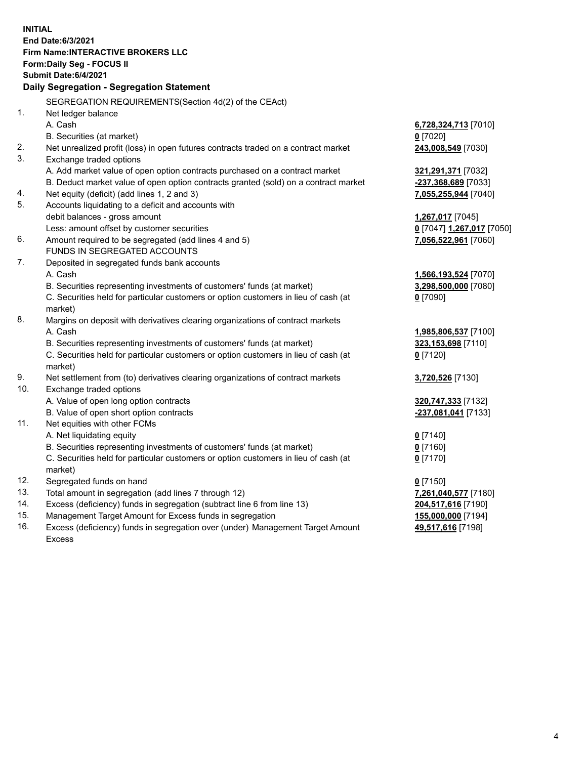**INITIAL End Date:6/3/2021 Firm Name:INTERACTIVE BROKERS LLC Form:Daily Seg - FOCUS II Submit Date:6/4/2021 Daily Segregation - Segregation Statement** SEGREGATION REQUIREMENTS(Section 4d(2) of the CEAct) 1. Net ledger balance A. Cash **6,728,324,713** [7010] B. Securities (at market) **0** [7020] 2. Net unrealized profit (loss) in open futures contracts traded on a contract market **243,008,549** [7030] 3. Exchange traded options A. Add market value of open option contracts purchased on a contract market **321,291,371** [7032] B. Deduct market value of open option contracts granted (sold) on a contract market **-237,368,689** [7033] 4. Net equity (deficit) (add lines 1, 2 and 3) **7,055,255,944** [7040] 5. Accounts liquidating to a deficit and accounts with debit balances - gross amount **1,267,017** [7045] Less: amount offset by customer securities **0** [7047] **1,267,017** [7050] 6. Amount required to be segregated (add lines 4 and 5) **7,056,522,961** [7060] FUNDS IN SEGREGATED ACCOUNTS 7. Deposited in segregated funds bank accounts A. Cash **1,566,193,524** [7070] B. Securities representing investments of customers' funds (at market) **3,298,500,000** [7080] C. Securities held for particular customers or option customers in lieu of cash (at market) **0** [7090] 8. Margins on deposit with derivatives clearing organizations of contract markets A. Cash **1,985,806,537** [7100] B. Securities representing investments of customers' funds (at market) **323,153,698** [7110] C. Securities held for particular customers or option customers in lieu of cash (at market) **0** [7120] 9. Net settlement from (to) derivatives clearing organizations of contract markets **3,720,526** [7130] 10. Exchange traded options A. Value of open long option contracts **320,747,333** [7132] B. Value of open short option contracts **-237,081,041** [7133] 11. Net equities with other FCMs A. Net liquidating equity **0** [7140] B. Securities representing investments of customers' funds (at market) **0** [7160] C. Securities held for particular customers or option customers in lieu of cash (at market) **0** [7170] 12. Segregated funds on hand **0** [7150] 13. Total amount in segregation (add lines 7 through 12) **7,261,040,577** [7180] 14. Excess (deficiency) funds in segregation (subtract line 6 from line 13) **204,517,616** [7190] 15. Management Target Amount for Excess funds in segregation **155,000,000** [7194] **49,517,616** [7198]

16. Excess (deficiency) funds in segregation over (under) Management Target Amount Excess